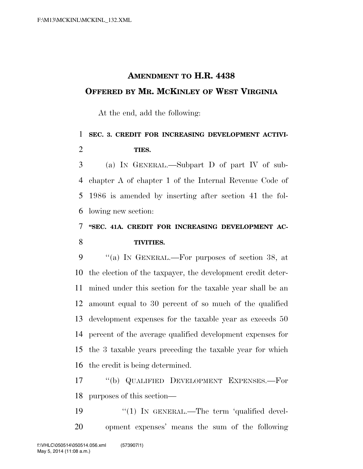## **AMENDMENT TO H.R. 4438 OFFERED BY MR. MCKINLEY OF WEST VIRGINIA**

At the end, add the following:

## **SEC. 3. CREDIT FOR INCREASING DEVELOPMENT ACTIVI-TIES.**

 (a) IN GENERAL.—Subpart D of part IV of sub- chapter A of chapter 1 of the Internal Revenue Code of 1986 is amended by inserting after section 41 the fol-lowing new section:

## **''SEC. 41A. CREDIT FOR INCREASING DEVELOPMENT AC-TIVITIES.**

 ''(a) IN GENERAL.—For purposes of section 38, at the election of the taxpayer, the development credit deter- mined under this section for the taxable year shall be an amount equal to 30 percent of so much of the qualified development expenses for the taxable year as exceeds 50 percent of the average qualified development expenses for the 3 taxable years preceding the taxable year for which the credit is being determined.

 ''(b) QUALIFIED DEVELOPMENT EXPENSES.—For purposes of this section—

19 "(1) IN GENERAL.—The term 'qualified devel-opment expenses' means the sum of the following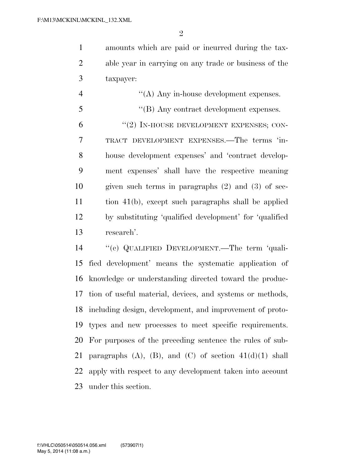amounts which are paid or incurred during the tax- able year in carrying on any trade or business of the taxpayer:

 ''(A) Any in-house development expenses. ''(B) Any contract development expenses.  $(2)$  IN-HOUSE DEVELOPMENT EXPENSES; CON- TRACT DEVELOPMENT EXPENSES.—The terms 'in- house development expenses' and 'contract develop- ment expenses' shall have the respective meaning given such terms in paragraphs (2) and (3) of sec- tion 41(b), except such paragraphs shall be applied by substituting 'qualified development' for 'qualified research'.

 ''(c) QUALIFIED DEVELOPMENT.—The term 'quali- fied development' means the systematic application of knowledge or understanding directed toward the produc- tion of useful material, devices, and systems or methods, including design, development, and improvement of proto- types and new processes to meet specific requirements. For purposes of the preceding sentence the rules of sub-21 paragraphs  $(A)$ ,  $(B)$ , and  $(C)$  of section  $41(d)(1)$  shall apply with respect to any development taken into account under this section.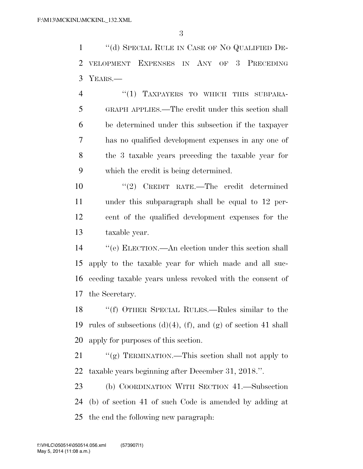''(d) SPECIAL RULE IN CASE OF NO QUALIFIED DE- VELOPMENT EXPENSES IN ANY OF 3 PRECEDING YEARS.—

4 "(1) TAXPAYERS TO WHICH THIS SUBPARA- GRAPH APPLIES.—The credit under this section shall be determined under this subsection if the taxpayer has no qualified development expenses in any one of the 3 taxable years preceding the taxable year for which the credit is being determined.

 ''(2) CREDIT RATE.—The credit determined under this subparagraph shall be equal to 12 per- cent of the qualified development expenses for the taxable year.

 ''(e) ELECTION.—An election under this section shall apply to the taxable year for which made and all suc- ceeding taxable years unless revoked with the consent of the Secretary.

 ''(f) OTHER SPECIAL RULES.—Rules similar to the 19 rules of subsections  $(d)(4)$ ,  $(f)$ , and  $(g)$  of section 41 shall apply for purposes of this section.

21 ""(g) TERMINATION.—This section shall not apply to taxable years beginning after December 31, 2018.''.

 (b) COORDINATION WITH SECTION 41.—Subsection (b) of section 41 of such Code is amended by adding at the end the following new paragraph: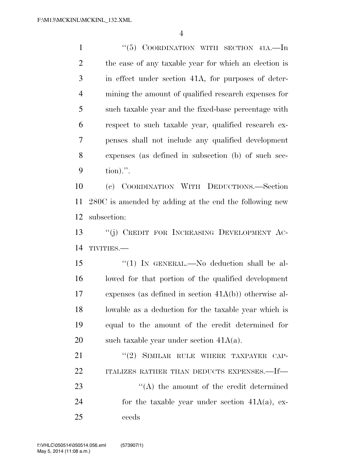1 "(5) COORDINATION WITH SECTION 41A. In the case of any taxable year for which an election is in effect under section 41A, for purposes of deter- mining the amount of qualified research expenses for such taxable year and the fixed-base percentage with respect to such taxable year, qualified research ex- penses shall not include any qualified development expenses (as defined in subsection (b) of such sec-tion).''.

 (c) COORDINATION WITH DEDUCTIONS.—Section 280C is amended by adding at the end the following new subsection:

 ''(j) CREDIT FOR INCREASING DEVELOPMENT AC-TIVITIES.—

15 "(1) IN GENERAL.—No deduction shall be al- lowed for that portion of the qualified development expenses (as defined in section 41A(b)) otherwise al- lowable as a deduction for the taxable year which is equal to the amount of the credit determined for 20 such taxable year under section  $41A(a)$ .

21 "(2) SIMILAR RULE WHERE TAXPAYER CAP-22 ITALIZES RATHER THAN DEDUCTS EXPENSES.—If—

23 ''(A) the amount of the credit determined 24 for the taxable year under section  $41A(a)$ , ex-ceeds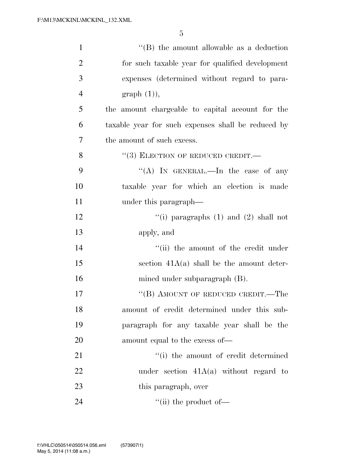| $\mathbf{1}$   | $\lq\lq$ the amount allowable as a deduction       |
|----------------|----------------------------------------------------|
| $\overline{2}$ | for such taxable year for qualified development    |
| 3              | expenses (determined without regard to para-       |
| $\overline{4}$ | graph(1),                                          |
| 5              | the amount chargeable to capital account for the   |
| 6              | taxable year for such expenses shall be reduced by |
| 7              | the amount of such excess.                         |
| 8              | $``(3)$ ELECTION OF REDUCED CREDIT.—               |
| 9              | "(A) IN GENERAL.—In the case of any                |
| 10             | taxable year for which an election is made         |
| 11             | under this paragraph—                              |
| 12             | "(i) paragraphs $(1)$ and $(2)$ shall not          |
| 13             | apply, and                                         |
| 14             | "(ii) the amount of the credit under               |
| 15             | section $41A(a)$ shall be the amount deter-        |
| 16             | mined under subparagraph (B).                      |
| 17             | "(B) AMOUNT OF REDUCED CREDIT.—The                 |
| 18             | amount of credit determined under this sub-        |
| 19             | paragraph for any taxable year shall be the        |
| 20             | amount equal to the excess of—                     |
| 21             | "(i) the amount of credit determined               |
| 22             | under section $41A(a)$ without regard to           |
| 23             | this paragraph, over                               |
| 24             | $\lq\lq$ (ii) the product of $\lq$                 |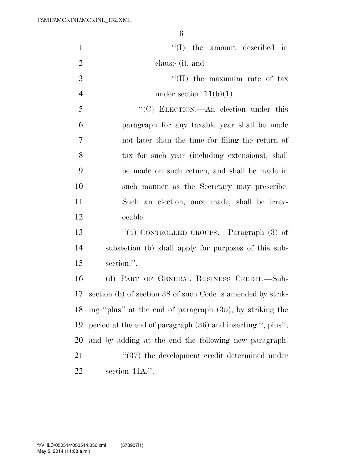| $\mathbf{1}$   | $\lq\lq$ (I) the amount described in                        |
|----------------|-------------------------------------------------------------|
| $\overline{2}$ | clause (i), and                                             |
| 3              | $\lq\lq$ (II) the maximum rate of tax                       |
| $\overline{4}$ | under section $11(b)(1)$ .                                  |
| 5              | "(C) ELECTION.—An election under this                       |
| 6              | paragraph for any taxable year shall be made                |
| $\tau$         | not later than the time for filing the return of            |
| 8              | tax for such year (including extensions), shall             |
| 9              | be made on such return, and shall be made in                |
| 10             | such manner as the Secretary may prescribe.                 |
| 11             | Such an election, once made, shall be irrev-                |
| 12             | ocable.                                                     |
| 13             | "(4) CONTROLLED GROUPS.—Paragraph $(3)$ of                  |
| 14             | subsection (b) shall apply for purposes of this sub-        |
| 15             | section.".                                                  |
| 16             | (d) PART OF GENERAL BUSINESS CREDIT.—Sub-                   |
| 17             | section (b) of section 38 of such Code is amended by strik- |
| 18             | ing "plus" at the end of paragraph (35), by striking the    |
| 19             | period at the end of paragraph (36) and inserting ", plus", |
| 20             | and by adding at the end the following new paragraph:       |
| 21             | $\cdot$ (37) the development credit determined under        |
| 22             | section 41A.".                                              |